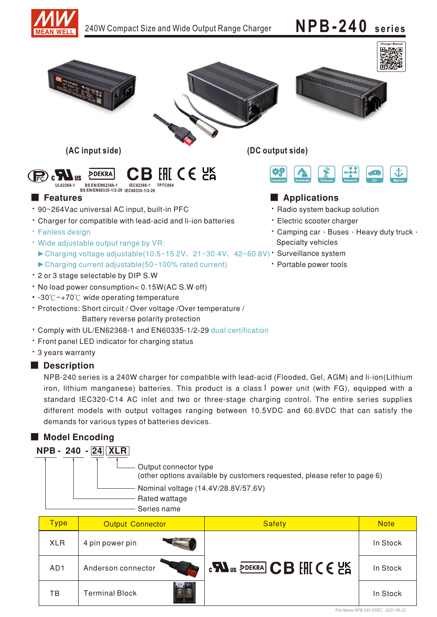

# 240W Compact Size and Wide Output Range Charger  $NPB-240$  **series**









**(AC input side) (DC output side)**



# ■ Features ■ Particular and Particular and Particular and Particular and Particular and Particular and Particular and Particular and Particular and Particular and Particular and Particular and Particular and Particular an

- · Radio system backup solution
- · Electric scooter charger
- Camping car · Buses · Heavy duty truck · Specialty vehicles
- - Portable power tools



**IEC60335-1/2-29 BS EN/EN60335-1/2-29**

- \* 90~264Vac universal AC input, built-in PFC
- Charger for compatible with lead-acid and li-ion batteries
- **· Fanless design**
- ▶ Charging voltage adjustable(10.5~15.2V、21~30.4V、42~60.8V) Surveillance system • Wide adjustable output range by VR: ► Charging current adjustable(50~100% rated current)
- \* 2 or 3 stage selectable by DIP S.W
- No load power consumption< 0.15W(AC S.W off)
- -30℃~+70℃ wide operating temperature
- Protections: Short circuit / Over voltage / Over temperature / Battery reverse polarity protection
- Comply with UL/EN62368-1 and EN60335-1/2-29 dual certification
- Front panel LED indicator for charging status
- 3 years warranty

# Description

NPB-240 series is a 240W charger for compatible with lead-acid (Flooded, Gel, AGM) and li-ion(Lithium iron, lithium manganese) batteries. This product is a class I power unit (with FG), equipped with a standard IEC320-C14 AC inlet and two or three-stage charging control. The entire series supplies different models with output voltages ranging between 10.5VDC and 60.8VDC that can satisfy the demands for various types of batteries devices.

# ■ Model Encoding



| <b>Type</b>     | <b>Output Connector</b>            | <b>Safety</b>     | <b>Note</b> |
|-----------------|------------------------------------|-------------------|-------------|
| <b>XLR</b>      | 4 pin power pin                    |                   | In Stock    |
| AD <sub>1</sub> | Anderson connector                 | <b>CB EHE CES</b> | In Stock    |
| ΤВ              | $V+$ $V-$<br><b>Terminal Block</b> |                   | In Stock    |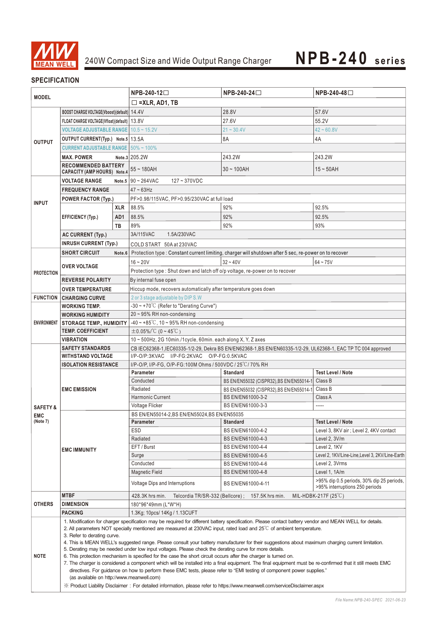

# **SPECIFICATION**

| <b>MODEL</b>        |                                                                                                                                                                     | $NPB-240-12$         | NPB-240-24□                                                                                                                                       | NPB-240-48□                                                                                                  |                                                                             |  |  |
|---------------------|---------------------------------------------------------------------------------------------------------------------------------------------------------------------|----------------------|---------------------------------------------------------------------------------------------------------------------------------------------------|--------------------------------------------------------------------------------------------------------------|-----------------------------------------------------------------------------|--|--|
|                     |                                                                                                                                                                     |                      |                                                                                                                                                   |                                                                                                              |                                                                             |  |  |
|                     |                                                                                                                                                                     | $\Box$ =XLR, AD1, TB |                                                                                                                                                   |                                                                                                              |                                                                             |  |  |
| <b>OUTPUT</b>       | BOOST CHARGE VOLTAGE(Vboost)(default)   14.4V                                                                                                                       |                      |                                                                                                                                                   | 28.8V                                                                                                        | 57.6V                                                                       |  |  |
|                     | FLOAT CHARGE VOLTAGE(Vfloat)(default)   13.8V                                                                                                                       |                      |                                                                                                                                                   | 27.6V                                                                                                        | 55.2V                                                                       |  |  |
|                     | VOLTAGE ADJUSTABLE RANGE   10.5 ~ 15.2V                                                                                                                             |                      |                                                                                                                                                   | $21 - 30.4V$                                                                                                 | $42 \approx 60.8V$                                                          |  |  |
|                     | OUTPUT CURRENT(Typ.) Note.5   13.5A                                                                                                                                 |                      |                                                                                                                                                   | 8A                                                                                                           | 4A                                                                          |  |  |
|                     | <b>CURRENT ADJUSTABLE RANGE</b>                                                                                                                                     |                      | $50\%$ ~ 100%                                                                                                                                     |                                                                                                              |                                                                             |  |  |
|                     | <b>MAX. POWER</b>                                                                                                                                                   |                      | Note.3 205.2W                                                                                                                                     | 243.2W                                                                                                       | 243.2W                                                                      |  |  |
|                     | <b>RECOMMENDED BATTERY</b><br>CAPACITY (AMP HOURS) Note.4                                                                                                           |                      | $55 - 180AH$                                                                                                                                      | $30 - 100$ AH                                                                                                | $15 \sim 50$ AH                                                             |  |  |
|                     | <b>VOLTAGE RANGE</b>                                                                                                                                                |                      | Note.5 $90 \sim 264$ VAC<br>$127 - 370$ VDC                                                                                                       |                                                                                                              |                                                                             |  |  |
|                     | <b>FREQUENCY RANGE</b>                                                                                                                                              |                      | $47 \sim 63$ Hz                                                                                                                                   |                                                                                                              |                                                                             |  |  |
|                     | <b>POWER FACTOR (Typ.)</b>                                                                                                                                          |                      | PF>0.98/115VAC, PF>0.95/230VAC at full load                                                                                                       |                                                                                                              |                                                                             |  |  |
| <b>INPUT</b>        |                                                                                                                                                                     | <b>XLR</b>           | 88.5%                                                                                                                                             | 92%                                                                                                          | 92.5%                                                                       |  |  |
|                     | <b>EFFICIENCY (Typ.)</b>                                                                                                                                            | AD1                  | 88.5%                                                                                                                                             | 92%                                                                                                          | 92.5%                                                                       |  |  |
|                     |                                                                                                                                                                     | TB                   | 89%                                                                                                                                               | 92%                                                                                                          | 93%                                                                         |  |  |
|                     | <b>AC CURRENT (Typ.)</b>                                                                                                                                            |                      | 3A/115VAC<br>1.5A/230VAC                                                                                                                          |                                                                                                              |                                                                             |  |  |
|                     | <b>INRUSH CURRENT (Typ.)</b>                                                                                                                                        |                      |                                                                                                                                                   |                                                                                                              |                                                                             |  |  |
|                     |                                                                                                                                                                     |                      | COLD START 50A at 230VAC                                                                                                                          |                                                                                                              |                                                                             |  |  |
|                     | <b>SHORT CIRCUIT</b>                                                                                                                                                |                      |                                                                                                                                                   | Note 6 Protection type: Constant current limiting, charger will shutdown after 5 sec, re-power on to recover |                                                                             |  |  |
|                     | <b>OVER VOLTAGE</b>                                                                                                                                                 |                      | $16 - 20V$                                                                                                                                        | $32 - 40V$                                                                                                   | $64 - 75V$                                                                  |  |  |
| <b>PROTECTION</b>   |                                                                                                                                                                     |                      | Protection type : Shut down and latch off o/p voltage, re-power on to recover                                                                     |                                                                                                              |                                                                             |  |  |
|                     | <b>REVERSE POLARITY</b>                                                                                                                                             |                      | By internal fuse open                                                                                                                             |                                                                                                              |                                                                             |  |  |
|                     | <b>OVER TEMPERATURE</b>                                                                                                                                             |                      | Hiccup mode, recovers automatically after temperature goes down                                                                                   |                                                                                                              |                                                                             |  |  |
|                     | <b>FUNCTION CHARGING CURVE</b>                                                                                                                                      |                      | 2 or 3 stage adjustable by DIP S.W                                                                                                                |                                                                                                              |                                                                             |  |  |
|                     | <b>WORKING TEMP.</b>                                                                                                                                                |                      | $-30 \sim +70^{\circ}$ C (Refer to "Derating Curve")                                                                                              |                                                                                                              |                                                                             |  |  |
|                     | <b>WORKING HUMIDITY</b>                                                                                                                                             |                      | 20~95% RH non-condensing                                                                                                                          |                                                                                                              |                                                                             |  |  |
| <b>ENVIRONMENT</b>  | <b>STORAGE TEMP., HUMIDITY</b>                                                                                                                                      |                      | $-40 \sim +85^{\circ}$ C, 10 ~ 95% RH non-condensing                                                                                              |                                                                                                              |                                                                             |  |  |
|                     | <b>TEMP, COEFFICIENT</b>                                                                                                                                            |                      | $\pm$ 0.05%/°C (0~45°C)                                                                                                                           |                                                                                                              |                                                                             |  |  |
|                     | VIBRATION                                                                                                                                                           |                      | 10 ~ 500Hz, 2G 10min./1cycle, 60min. each along X, Y, Z axes                                                                                      |                                                                                                              |                                                                             |  |  |
|                     | <b>SAFETY STANDARDS</b>                                                                                                                                             |                      | CB IEC62368-1, IEC60335-1/2-29, Dekra BS EN/EN62368-1, BS EN/EN60335-1/2-29, UL62368-1, EAC TP TC 004 approved                                    |                                                                                                              |                                                                             |  |  |
|                     | <b>WITHSTAND VOLTAGE</b>                                                                                                                                            |                      | I/P-O/P:3KVAC I/P-FG:2KVAC O/P-FG:0.5KVAC                                                                                                         |                                                                                                              |                                                                             |  |  |
|                     | <b>ISOLATION RESISTANCE</b>                                                                                                                                         |                      | I/P-O/P, I/P-FG, O/P-FG:100M Ohms / 500VDC / 25 °C / 70% RH                                                                                       |                                                                                                              |                                                                             |  |  |
|                     | <b>EMC EMISSION</b>                                                                                                                                                 |                      | <b>Parameter</b>                                                                                                                                  | <b>Standard</b>                                                                                              | <b>Test Level / Note</b>                                                    |  |  |
|                     |                                                                                                                                                                     |                      | Conducted                                                                                                                                         | BS EN/EN55032 (CISPR32), BS EN/EN55014-1                                                                     | Class B                                                                     |  |  |
|                     |                                                                                                                                                                     |                      | Radiated                                                                                                                                          | BS EN/EN55032 (CISPR32), BS EN/EN55014-1                                                                     | Class B                                                                     |  |  |
|                     |                                                                                                                                                                     |                      | <b>Harmonic Current</b>                                                                                                                           | BS EN/EN61000-3-2                                                                                            | Class A                                                                     |  |  |
| <b>SAFETY &amp;</b> |                                                                                                                                                                     |                      | Voltage Flicker                                                                                                                                   | BS EN/EN61000-3-3                                                                                            | -----                                                                       |  |  |
| <b>EMC</b>          |                                                                                                                                                                     |                      | BS EN/EN55014-2, BS EN/EN55024, BS EN/EN55035                                                                                                     |                                                                                                              |                                                                             |  |  |
| (Note 7)            |                                                                                                                                                                     |                      | Parameter                                                                                                                                         | <b>Standard</b>                                                                                              | Test Level / Note                                                           |  |  |
|                     | <b>EMC IMMUNITY</b>                                                                                                                                                 |                      | <b>ESD</b>                                                                                                                                        | BS EN/EN61000-4-2                                                                                            | Level 3, 8KV air; Level 2, 4KV contact                                      |  |  |
|                     |                                                                                                                                                                     |                      | Radiated                                                                                                                                          | BS EN/EN61000-4-3                                                                                            | Level 2, 3V/m                                                               |  |  |
|                     |                                                                                                                                                                     |                      | EFT / Burst                                                                                                                                       | BS EN/EN61000-4-4                                                                                            | Level 2, 1KV                                                                |  |  |
|                     |                                                                                                                                                                     |                      | Surge                                                                                                                                             | BS EN/EN61000-4-5                                                                                            | Level 2, 1KV/Line-Line, Level 3, 2KV/Line-Earth                             |  |  |
|                     |                                                                                                                                                                     |                      | Conducted                                                                                                                                         | BS EN/EN61000-4-6                                                                                            | Level 2, 3Vrms                                                              |  |  |
|                     |                                                                                                                                                                     |                      | <b>Magnetic Field</b>                                                                                                                             | BS EN/EN61000-4-8                                                                                            | Level 1, 1A/m                                                               |  |  |
|                     |                                                                                                                                                                     |                      | <b>Voltage Dips and Interruptions</b>                                                                                                             | BS EN/EN61000-4-11                                                                                           | >95% dip 0.5 periods, 30% dip 25 periods,<br>>95% interruptions 250 periods |  |  |
|                     | <b>MTBF</b>                                                                                                                                                         |                      | 428.3K hrs min.<br>Telcordia TR/SR-332 (Bellcore);<br>157.5K hrs min.<br>MIL-HDBK-217F $(25^{\circ}C)$                                            |                                                                                                              |                                                                             |  |  |
| <b>OTHERS</b>       | <b>DIMENSION</b>                                                                                                                                                    |                      | 180*96*49mm (L*W*H)                                                                                                                               |                                                                                                              |                                                                             |  |  |
|                     | <b>PACKING</b>                                                                                                                                                      |                      | 1.3Kg; 10pcs/ 14Kg / 1.13CUFT                                                                                                                     |                                                                                                              |                                                                             |  |  |
|                     | 1. Modification for charger specification may be required for different battery specification. Please contact battery vendor and MEAN WELL for details.             |                      |                                                                                                                                                   |                                                                                                              |                                                                             |  |  |
|                     | 2. All parameters NOT specially mentioned are measured at 230VAC input, rated load and $25^{\circ}$ of ambient temperature.<br>3. Refer to derating curve.          |                      |                                                                                                                                                   |                                                                                                              |                                                                             |  |  |
|                     |                                                                                                                                                                     |                      | 4. This is MEAN WELL's suggested range. Please consult your battery manufacturer for their suggestions about maximum charging current limitation. |                                                                                                              |                                                                             |  |  |
|                     |                                                                                                                                                                     |                      | 5. Derating may be needed under low input voltages. Please check the derating curve for more details.                                             |                                                                                                              |                                                                             |  |  |
| <b>NOTE</b>         |                                                                                                                                                                     |                      | 6. This protection mechanism is specified for the case the short circuit occurs after the charger is turned on.                                   |                                                                                                              |                                                                             |  |  |
|                     | 7. The charger is considered a component which will be installed into a final equipment. The final equipment must be re-confirmed that it still meets EMC           |                      |                                                                                                                                                   |                                                                                                              |                                                                             |  |  |
|                     | directives. For guidance on how to perform these EMC tests, please refer to "EMI testing of component power supplies."<br>(as available on http://www.meanwell.com) |                      |                                                                                                                                                   |                                                                                                              |                                                                             |  |  |
|                     |                                                                                                                                                                     |                      |                                                                                                                                                   |                                                                                                              |                                                                             |  |  |
|                     |                                                                                                                                                                     |                      | X Product Liability Disclaimer: For detailed information, please refer to https://www.meanwell.com/serviceDisclaimer.aspx                         |                                                                                                              |                                                                             |  |  |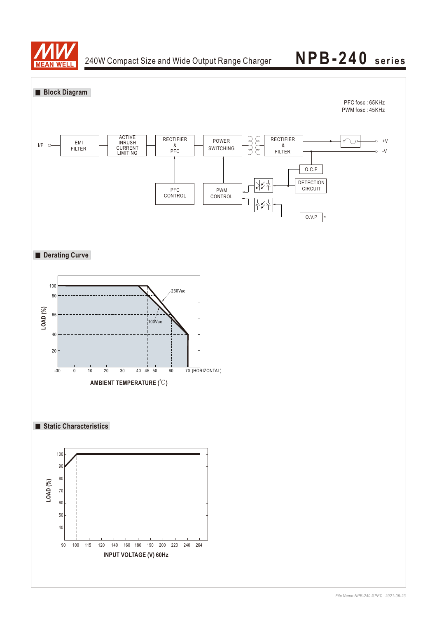

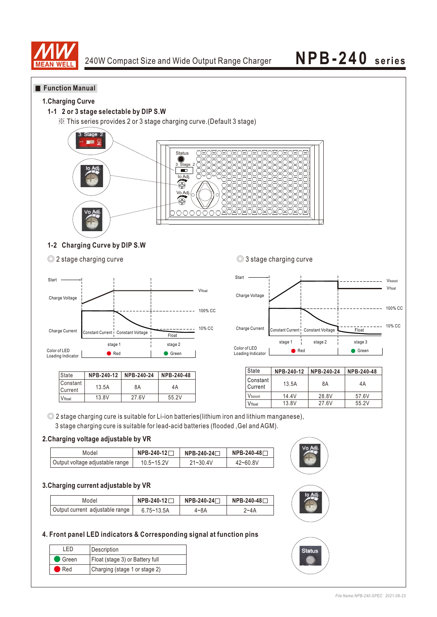

### **Function Manual**

### **1.Charging Curve**

### **1-1 2 or 3 stage selectable by DIP S.W**

※ This series provides 2 or 3 stage charging curve.(Default 3 stage)



### **1-2 Charging Curve by DIP S.W**

◎ 2 stage charging curve ◎ 3 stage charging curve



| State               |       | NPB-240-12 NPB-240-24 | NPB-240-48 |
|---------------------|-------|-----------------------|------------|
| Constant<br>Current | 13.5A | 8Α                    | 4Α         |
| Vfloat              | 13.8V | 27.6V                 | 55.2V      |



| State                          | NPB-240-12 | NPB-240-24 | NPB-240-48 |  |
|--------------------------------|------------|------------|------------|--|
| l Constant<br>13.5A<br>Current |            | 8A         | 4A         |  |
| Vhoost                         | 14.4V      | 28.8V      | 57.6V      |  |
| Vfloat                         | 13.8V      | 27.6V      | 55.2V      |  |

◎ 2 stage charging cure is suitable for Li-ion batteries(lithium iron and lithium manganese), 3 stage charging cure is suitable for lead-acid batteries (flooded ,Gel and AGM).

### **2.Charging voltage adjustable by VR**

| Model                           | NPB-240-12 | NPB-240-24⊟  | NPB-240-48 <b>Γ</b> |  |
|---------------------------------|------------|--------------|---------------------|--|
| Output voltage adjustable range | 10.5~15.2V | $21 - 30.4V$ | $42 - 60.8V$        |  |

### **3.Charging current adjustable by VR**

| Model                           | NPB-240-12□    | NPB-240-24⊡ | NPB-240-48 <b>Γ</b> |  |
|---------------------------------|----------------|-------------|---------------------|--|
| Output current adjustable range | $6.75 - 13.5A$ | 4~8A        | 7~4A                |  |

### **4. Front panel LED indicators & Corresponding signal at function pins**

| I FD               | Description                     |
|--------------------|---------------------------------|
| $\bullet$ Green    | Float (stage 3) or Battery full |
| $\blacksquare$ Red | Charging (stage 1 or stage 2)   |



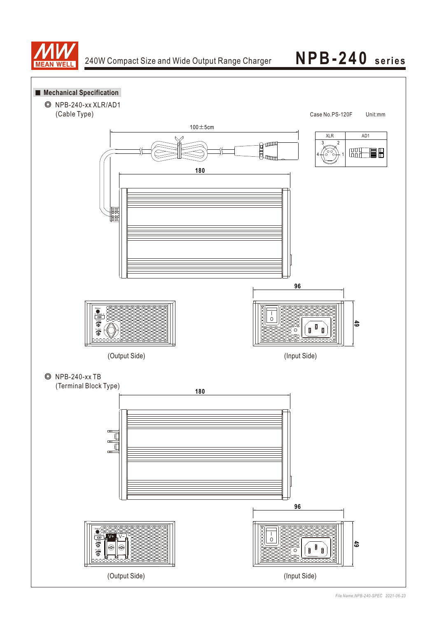